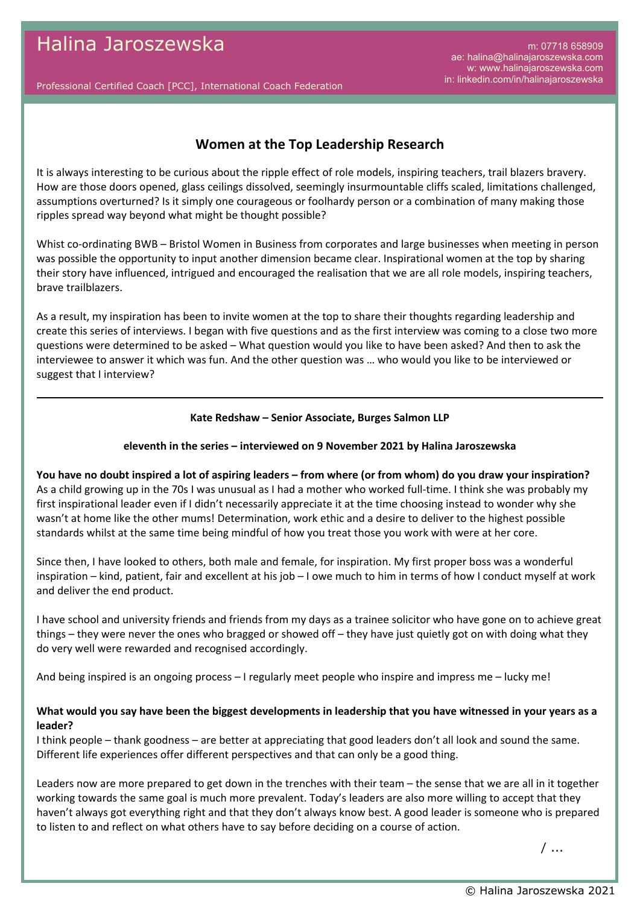m: 07718 658909 ae: halina@halinajaroszewska.com w: www.halinajaroszewska.com in: linkedin.com/in/halinajaroszewska

Professional Certified Coach [PCC], International Coach Federation

# **Women at the Top Leadership Research**

It is always interesting to be curious about the ripple effect of role models, inspiring teachers, trail blazers bravery. How are those doors opened, glass ceilings dissolved, seemingly insurmountable cliffs scaled, limitations challenged, assumptions overturned? Is it simply one courageous or foolhardy person or a combination of many making those ripples spread way beyond what might be thought possible?

Whist co-ordinating BWB – Bristol Women in Business from corporates and large businesses when meeting in person was possible the opportunity to input another dimension became clear. Inspirational women at the top by sharing their story have influenced, intrigued and encouraged the realisation that we are all role models, inspiring teachers, brave trailblazers.

As a result, my inspiration has been to invite women at the top to share their thoughts regarding leadership and create this series of interviews. I began with five questions and as the first interview was coming to a close two more questions were determined to be asked – What question would you like to have been asked? And then to ask the interviewee to answer it which was fun. And the other question was … who would you like to be interviewed or suggest that I interview?

#### **Kate Redshaw – Senior Associate, Burges Salmon LLP**

#### **eleventh in the series – interviewed on 9 November 2021 by Halina Jaroszewska**

**You have no doubt inspired a lot of aspiring leaders – from where (or from whom) do you draw your inspiration?** As a child growing up in the 70s I was unusual as I had a mother who worked full-time. I think she was probably my first inspirational leader even if I didn't necessarily appreciate it at the time choosing instead to wonder why she wasn't at home like the other mums! Determination, work ethic and a desire to deliver to the highest possible standards whilst at the same time being mindful of how you treat those you work with were at her core.

Since then, I have looked to others, both male and female, for inspiration. My first proper boss was a wonderful inspiration – kind, patient, fair and excellent at his job – I owe much to him in terms of how I conduct myself at work and deliver the end product.

I have school and university friends and friends from my days as a trainee solicitor who have gone on to achieve great things – they were never the ones who bragged or showed off – they have just quietly got on with doing what they do very well were rewarded and recognised accordingly.

And being inspired is an ongoing process – I regularly meet people who inspire and impress me – lucky me!

## **What would you say have been the biggest developments in leadership that you have witnessed in your years as a leader?**

I think people – thank goodness – are better at appreciating that good leaders don't all look and sound the same. Different life experiences offer different perspectives and that can only be a good thing.

Leaders now are more prepared to get down in the trenches with their team – the sense that we are all in it together working towards the same goal is much more prevalent. Today's leaders are also more willing to accept that they haven't always got everything right and that they don't always know best. A good leader is someone who is prepared to listen to and reflect on what others have to say before deciding on a course of action.

/ ...